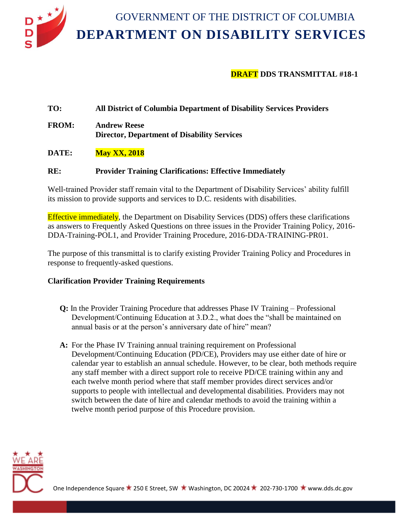

# **DRAFT DDS TRANSMITTAL #18-1**

### **TO: All District of Columbia Department of Disability Services Providers**

**FROM: Andrew Reese Director, Department of Disability Services**

#### **DATE: May XX, 2018**

#### **RE: Provider Training Clarifications: Effective Immediately**

Well-trained Provider staff remain vital to the Department of Disability Services' ability fulfill its mission to provide supports and services to D.C. residents with disabilities.

Effective immediately, the Department on Disability Services (DDS) offers these clarifications as answers to Frequently Asked Questions on three issues in the Provider Training Policy, 2016- DDA-Training-POL1, and Provider Training Procedure, 2016-DDA-TRAINING-PR01.

The purpose of this transmittal is to clarify existing Provider Training Policy and Procedures in response to frequently-asked questions.

#### **Clarification Provider Training Requirements**

- **Q:** In the Provider Training Procedure that addresses Phase IV Training Professional Development/Continuing Education at 3.D.2., what does the "shall be maintained on annual basis or at the person's anniversary date of hire" mean?
- **A:** For the Phase IV Training annual training requirement on Professional Development/Continuing Education (PD/CE), Providers may use either date of hire or calendar year to establish an annual schedule. However, to be clear, both methods require any staff member with a direct support role to receive PD/CE training within any and each twelve month period where that staff member provides direct services and/or supports to people with intellectual and developmental disabilities. Providers may not switch between the date of hire and calendar methods to avoid the training within a twelve month period purpose of this Procedure provision.